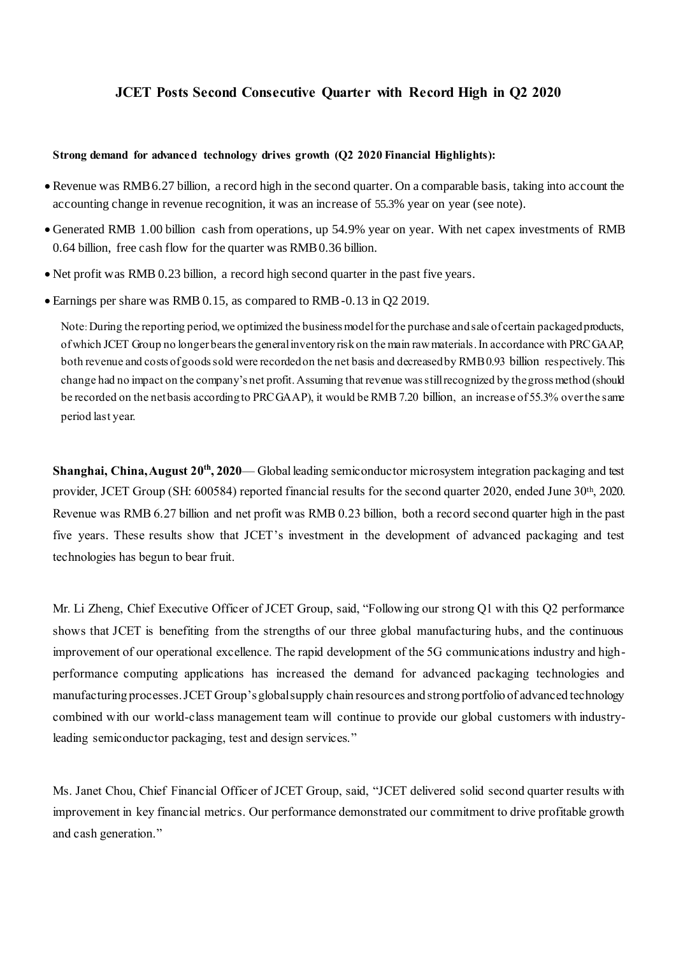# **JCET Posts Second Consecutive Quarter with Record High in Q2 2020**

### **Strong demand for advanced technology drives growth (Q2 2020 Financial Highlights):**

- Revenue was RMB 6.27 billion, a record high in the second quarter. On a comparable basis, taking into account the accounting change in revenue recognition, it was an increase of 55.3% year on year (see note).
- Generated RMB 1.00 billion cash from operations, up 54.9% year on year. With net capex investments of RMB 0.64 billion, free cash flow for the quarter was RMB 0.36 billion.
- Net profit was RMB 0.23 billion, a record high second quarter in the past five years.
- Earnings per share was RMB 0.15, as compared to RMB -0.13 in Q2 2019.

Note: During the reporting period, we optimized the business model for the purchase and sale of certain packaged products, of which JCET Group no longer bears the general inventory risk on the main raw materials. In accordance with PRC GAAP, both revenue and costs of goods sold were recorded on the net basis and decreased by RMB 0.93 billion respectively. This change had no impact on the company's net profit. Assuming that revenue was still recognized by the gross method (should be recorded on the net basis according to PRC GAAP), it would be RMB 7.20 billion, an increase of 55.3% over the same period last year.

Shanghai, China, August 20<sup>th</sup>, 2020— Global leading semiconductor microsystem integration packaging and test provider, JCET Group (SH: 600584) reported financial results for the second quarter 2020, ended June 30th, 2020. Revenue was RMB 6.27 billion and net profit was RMB 0.23 billion, both a record second quarter high in the past five years. These results show that JCET's investment in the development of advanced packaging and test technologies has begun to bear fruit.

Mr. Li Zheng, Chief Executive Officer of JCET Group, said, "Following our strong Q1 with this Q2 performance shows that JCET is benefiting from the strengths of our three global manufacturing hubs, and the continuous improvement of our operational excellence. The rapid development of the 5G communications industry and highperformance computing applications has increased the demand for advanced packaging technologies and manufacturing processes. JCET Group's global supply chain resources and strong portfolio of advanced technology combined with our world-class management team will continue to provide our global customers with industryleading semiconductor packaging, test and design services."

Ms. Janet Chou, Chief Financial Officer of JCET Group, said, "JCET delivered solid second quarter results with improvement in key financial metrics. Our performance demonstrated our commitment to drive profitable growth and cash generation."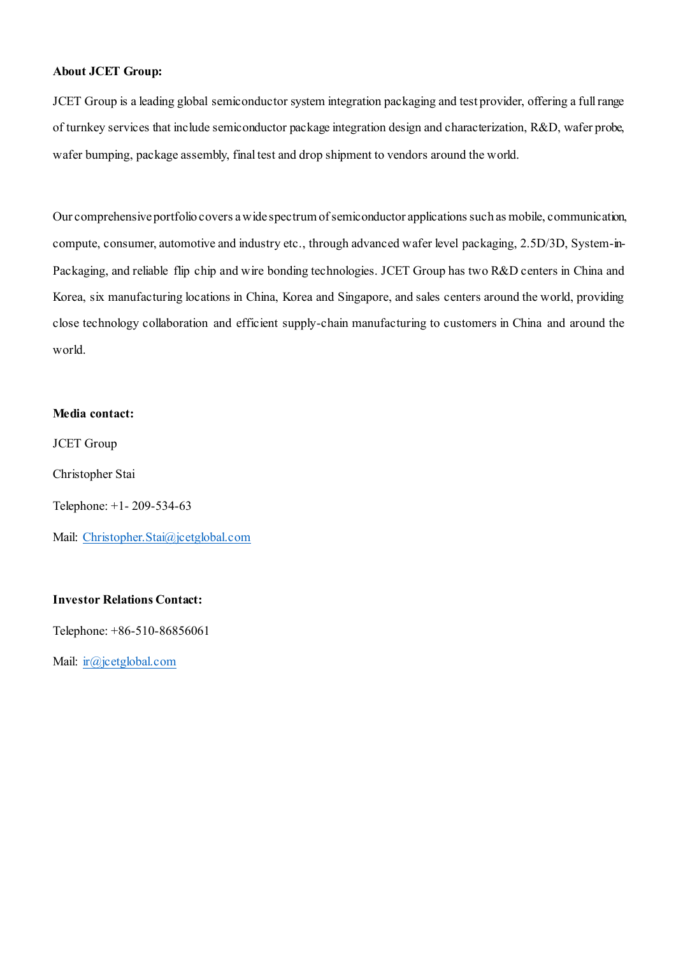## **About JCET Group:**

JCET Group is a leading global semiconductor system integration packaging and test provider, offering a full range of turnkey services that include semiconductor package integration design and characterization, R&D, wafer probe, wafer bumping, package assembly, final test and drop shipment to vendors around the world.

Our comprehensive portfolio covers a wide spectrum of semiconductor applications such as mobile, communication, compute, consumer, automotive and industry etc., through advanced wafer level packaging, 2.5D/3D, System-in-Packaging, and reliable flip chip and wire bonding technologies. JCET Group has two R&D centers in China and Korea, six manufacturing locations in China, Korea and Singapore, and sales centers around the world, providing close technology collaboration and efficient supply-chain manufacturing to customers in China and around the world.

#### **Media contact:**

JCET Group

Christopher Stai

Telephone: +1- 209-534-63

Mail: [Christopher.Stai@jcetglobal.com](mailto:Christopher.Stai@jcetglobal.com)

#### **Investor Relations Contact:**

Telephone: +86-510-86856061

Mail: [ir@jcetglobal.com](mailto:ir@jcetglobal.com)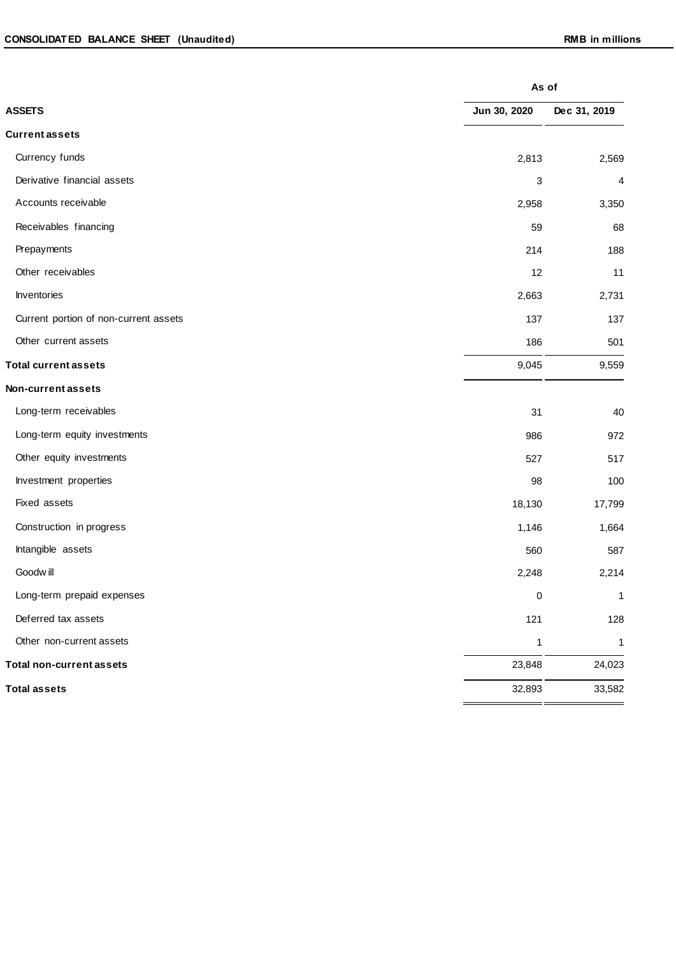|                                       |              | As of        |  |  |
|---------------------------------------|--------------|--------------|--|--|
| <b>ASSETS</b>                         | Jun 30, 2020 | Dec 31, 2019 |  |  |
| <b>Current assets</b>                 |              |              |  |  |
| Currency funds                        | 2,813        | 2,569        |  |  |
| Derivative financial assets           | 3            | 4            |  |  |
| Accounts receivable                   | 2,958        | 3,350        |  |  |
| Receivables financing                 | 59           | 68           |  |  |
| Prepayments                           | 214          | 188          |  |  |
| Other receivables                     | 12           | 11           |  |  |
| Inventories                           | 2,663        | 2,731        |  |  |
| Current portion of non-current assets | 137          | 137          |  |  |
| Other current assets                  | 186          | 501          |  |  |
| <b>Total current assets</b>           | 9,045        | 9,559        |  |  |
| Non-current assets                    |              |              |  |  |
| Long-term receivables                 | 31           | 40           |  |  |
| Long-term equity investments          | 986          | 972          |  |  |
| Other equity investments              | 527          | 517          |  |  |
| Investment properties                 | 98           | 100          |  |  |
| Fixed assets                          | 18,130       | 17,799       |  |  |
| Construction in progress              | 1,146        | 1,664        |  |  |
| Intangible assets                     | 560          | 587          |  |  |
| Goodwill                              | 2,248        | 2,214        |  |  |
| Long-term prepaid expenses            | 0            | 1            |  |  |
| Deferred tax assets                   | 121          | 128          |  |  |
| Other non-current assets              | $\mathbf 1$  | 1            |  |  |
| <b>Total non-current assets</b>       | 23,848       | 24,023       |  |  |
| <b>Total assets</b>                   | 32,893       | 33,582       |  |  |
|                                       |              |              |  |  |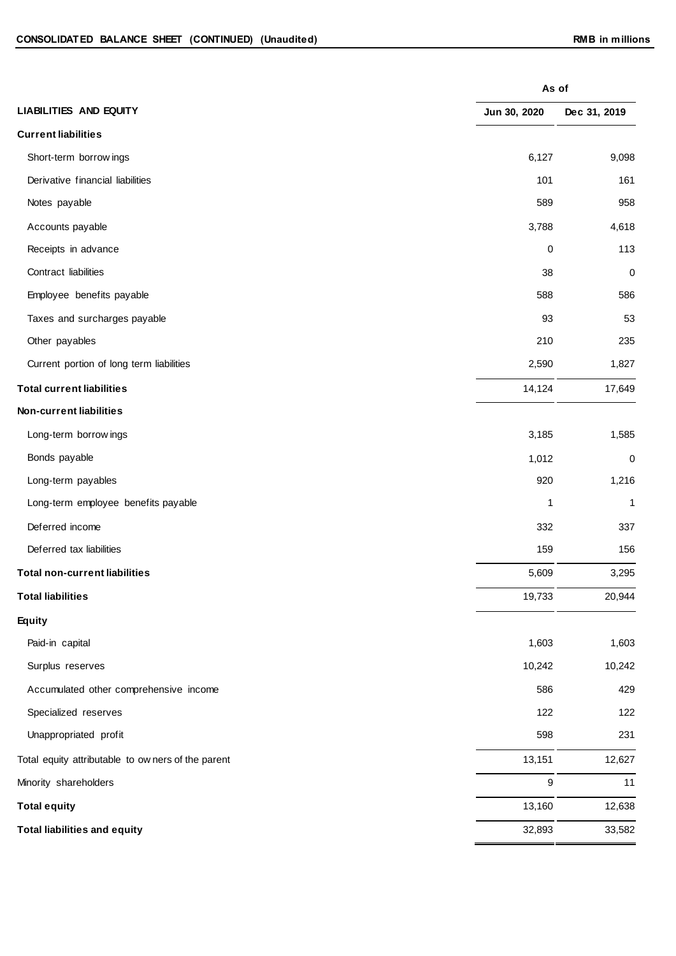| <b>LIABILITIES AND EQUITY</b><br>Jun 30, 2020<br><b>Current liabilities</b><br>6,127<br>Short-term borrow ings<br>Derivative financial liabilities<br>101<br>Notes payable<br>589<br>Accounts payable<br>3,788<br>Receipts in advance<br>0<br>Contract liabilities<br>38<br>Employee benefits payable<br>588<br>Taxes and surcharges payable<br>93<br>Other payables<br>210<br>Current portion of long term liabilities<br>2,590<br>14,124<br><b>Total current liabilities</b><br><b>Non-current liabilities</b><br>3,185<br>Long-term borrow ings<br>Bonds payable<br>1,012<br>Long-term payables<br>920<br>Long-term employee benefits payable<br>1<br>Deferred income<br>332<br>Deferred tax liabilities<br>159<br>5,609<br><b>Total non-current liabilities</b><br><b>Total liabilities</b><br>19,733<br>Equity<br>Paid-in capital<br>1,603<br>Surplus reserves<br>10,242<br>Accumulated other comprehensive income<br>586<br>Specialized reserves<br>122<br>598<br>Unappropriated profit<br>13,151<br>Total equity attributable to owners of the parent<br>Minority shareholders<br>9<br>13,160<br><b>Total equity</b> |                                     |        | As of            |  |  |
|-----------------------------------------------------------------------------------------------------------------------------------------------------------------------------------------------------------------------------------------------------------------------------------------------------------------------------------------------------------------------------------------------------------------------------------------------------------------------------------------------------------------------------------------------------------------------------------------------------------------------------------------------------------------------------------------------------------------------------------------------------------------------------------------------------------------------------------------------------------------------------------------------------------------------------------------------------------------------------------------------------------------------------------------------------------------------------------------------------------------------------|-------------------------------------|--------|------------------|--|--|
|                                                                                                                                                                                                                                                                                                                                                                                                                                                                                                                                                                                                                                                                                                                                                                                                                                                                                                                                                                                                                                                                                                                             |                                     |        | Dec 31, 2019     |  |  |
|                                                                                                                                                                                                                                                                                                                                                                                                                                                                                                                                                                                                                                                                                                                                                                                                                                                                                                                                                                                                                                                                                                                             |                                     |        |                  |  |  |
|                                                                                                                                                                                                                                                                                                                                                                                                                                                                                                                                                                                                                                                                                                                                                                                                                                                                                                                                                                                                                                                                                                                             |                                     |        | 9,098            |  |  |
|                                                                                                                                                                                                                                                                                                                                                                                                                                                                                                                                                                                                                                                                                                                                                                                                                                                                                                                                                                                                                                                                                                                             |                                     |        | 161              |  |  |
|                                                                                                                                                                                                                                                                                                                                                                                                                                                                                                                                                                                                                                                                                                                                                                                                                                                                                                                                                                                                                                                                                                                             |                                     |        | 958              |  |  |
|                                                                                                                                                                                                                                                                                                                                                                                                                                                                                                                                                                                                                                                                                                                                                                                                                                                                                                                                                                                                                                                                                                                             |                                     |        | 4,618            |  |  |
|                                                                                                                                                                                                                                                                                                                                                                                                                                                                                                                                                                                                                                                                                                                                                                                                                                                                                                                                                                                                                                                                                                                             |                                     |        | 113              |  |  |
|                                                                                                                                                                                                                                                                                                                                                                                                                                                                                                                                                                                                                                                                                                                                                                                                                                                                                                                                                                                                                                                                                                                             |                                     |        | $\boldsymbol{0}$ |  |  |
|                                                                                                                                                                                                                                                                                                                                                                                                                                                                                                                                                                                                                                                                                                                                                                                                                                                                                                                                                                                                                                                                                                                             |                                     |        | 586              |  |  |
|                                                                                                                                                                                                                                                                                                                                                                                                                                                                                                                                                                                                                                                                                                                                                                                                                                                                                                                                                                                                                                                                                                                             |                                     |        | 53               |  |  |
|                                                                                                                                                                                                                                                                                                                                                                                                                                                                                                                                                                                                                                                                                                                                                                                                                                                                                                                                                                                                                                                                                                                             |                                     |        | 235              |  |  |
|                                                                                                                                                                                                                                                                                                                                                                                                                                                                                                                                                                                                                                                                                                                                                                                                                                                                                                                                                                                                                                                                                                                             |                                     |        | 1,827            |  |  |
|                                                                                                                                                                                                                                                                                                                                                                                                                                                                                                                                                                                                                                                                                                                                                                                                                                                                                                                                                                                                                                                                                                                             |                                     |        | 17,649           |  |  |
|                                                                                                                                                                                                                                                                                                                                                                                                                                                                                                                                                                                                                                                                                                                                                                                                                                                                                                                                                                                                                                                                                                                             |                                     |        |                  |  |  |
|                                                                                                                                                                                                                                                                                                                                                                                                                                                                                                                                                                                                                                                                                                                                                                                                                                                                                                                                                                                                                                                                                                                             |                                     |        | 1,585            |  |  |
|                                                                                                                                                                                                                                                                                                                                                                                                                                                                                                                                                                                                                                                                                                                                                                                                                                                                                                                                                                                                                                                                                                                             |                                     |        | $\boldsymbol{0}$ |  |  |
|                                                                                                                                                                                                                                                                                                                                                                                                                                                                                                                                                                                                                                                                                                                                                                                                                                                                                                                                                                                                                                                                                                                             |                                     |        | 1,216            |  |  |
|                                                                                                                                                                                                                                                                                                                                                                                                                                                                                                                                                                                                                                                                                                                                                                                                                                                                                                                                                                                                                                                                                                                             |                                     |        | 1                |  |  |
|                                                                                                                                                                                                                                                                                                                                                                                                                                                                                                                                                                                                                                                                                                                                                                                                                                                                                                                                                                                                                                                                                                                             |                                     |        | 337              |  |  |
|                                                                                                                                                                                                                                                                                                                                                                                                                                                                                                                                                                                                                                                                                                                                                                                                                                                                                                                                                                                                                                                                                                                             |                                     |        | 156              |  |  |
|                                                                                                                                                                                                                                                                                                                                                                                                                                                                                                                                                                                                                                                                                                                                                                                                                                                                                                                                                                                                                                                                                                                             |                                     |        | 3,295            |  |  |
|                                                                                                                                                                                                                                                                                                                                                                                                                                                                                                                                                                                                                                                                                                                                                                                                                                                                                                                                                                                                                                                                                                                             |                                     |        | 20,944           |  |  |
|                                                                                                                                                                                                                                                                                                                                                                                                                                                                                                                                                                                                                                                                                                                                                                                                                                                                                                                                                                                                                                                                                                                             |                                     |        |                  |  |  |
|                                                                                                                                                                                                                                                                                                                                                                                                                                                                                                                                                                                                                                                                                                                                                                                                                                                                                                                                                                                                                                                                                                                             |                                     |        | 1,603            |  |  |
|                                                                                                                                                                                                                                                                                                                                                                                                                                                                                                                                                                                                                                                                                                                                                                                                                                                                                                                                                                                                                                                                                                                             |                                     |        | 10,242           |  |  |
|                                                                                                                                                                                                                                                                                                                                                                                                                                                                                                                                                                                                                                                                                                                                                                                                                                                                                                                                                                                                                                                                                                                             |                                     |        | 429              |  |  |
|                                                                                                                                                                                                                                                                                                                                                                                                                                                                                                                                                                                                                                                                                                                                                                                                                                                                                                                                                                                                                                                                                                                             |                                     |        | 122              |  |  |
|                                                                                                                                                                                                                                                                                                                                                                                                                                                                                                                                                                                                                                                                                                                                                                                                                                                                                                                                                                                                                                                                                                                             |                                     |        | 231              |  |  |
|                                                                                                                                                                                                                                                                                                                                                                                                                                                                                                                                                                                                                                                                                                                                                                                                                                                                                                                                                                                                                                                                                                                             |                                     |        | 12,627           |  |  |
|                                                                                                                                                                                                                                                                                                                                                                                                                                                                                                                                                                                                                                                                                                                                                                                                                                                                                                                                                                                                                                                                                                                             |                                     |        | 11               |  |  |
|                                                                                                                                                                                                                                                                                                                                                                                                                                                                                                                                                                                                                                                                                                                                                                                                                                                                                                                                                                                                                                                                                                                             |                                     |        | 12,638           |  |  |
|                                                                                                                                                                                                                                                                                                                                                                                                                                                                                                                                                                                                                                                                                                                                                                                                                                                                                                                                                                                                                                                                                                                             | <b>Total liabilities and equity</b> | 32,893 | 33,582           |  |  |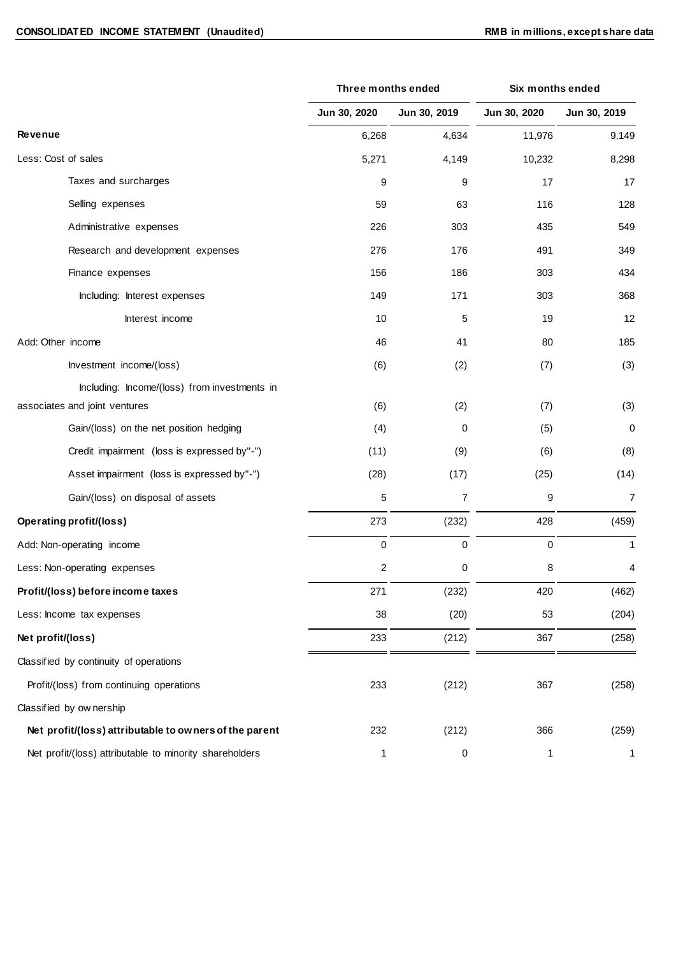|                                                         | Three months ended |              | Six months ended |              |
|---------------------------------------------------------|--------------------|--------------|------------------|--------------|
|                                                         | Jun 30, 2020       | Jun 30, 2019 | Jun 30, 2020     | Jun 30, 2019 |
| <b>Revenue</b>                                          | 6,268              | 4,634        | 11,976           | 9,149        |
| Less: Cost of sales                                     | 5,271              | 4,149        | 10,232           | 8,298        |
| Taxes and surcharges                                    | 9                  | 9            | 17               | 17           |
| Selling expenses                                        | 59                 | 63           | 116              | 128          |
| Administrative expenses                                 | 226                | 303          | 435              | 549          |
| Research and development expenses                       | 276                | 176          | 491              | 349          |
| Finance expenses                                        | 156                | 186          | 303              | 434          |
| Including: Interest expenses                            | 149                | 171          | 303              | 368          |
| Interest income                                         | 10                 | 5            | 19               | 12           |
| Add: Other income                                       | 46                 | 41           | 80               | 185          |
| Investment income/(loss)                                | (6)                | (2)          | (7)              | (3)          |
| Including: Income/(loss) from investments in            |                    |              |                  |              |
| associates and joint ventures                           | (6)                | (2)          | (7)              | (3)          |
| Gain/(loss) on the net position hedging                 | (4)                | 0            | (5)              | 0            |
| Credit impairment (loss is expressed by"-")             | (11)               | (9)          | (6)              | (8)          |
| Asset impairment (loss is expressed by"-")              | (28)               | (17)         | (25)             | (14)         |
| Gain/(loss) on disposal of assets                       | 5                  | 7            | 9                | 7            |
| <b>Operating profit/(loss)</b>                          | 273                | (232)        | 428              | (459)        |
| Add: Non-operating income                               | $\pmb{0}$          | $\mathbf 0$  | 0                | 1            |
| Less: Non-operating expenses                            | 2                  | 0            | 8                | 4            |
| Profit/(loss) before income taxes                       | 271                | (232)        | 420              | (462)        |
| Less: Income tax expenses                               | 38                 | (20)         | 53               | (204)        |
| Net profit/(loss)                                       | 233                | (212)        | 367              | (258)        |
| Classified by continuity of operations                  |                    |              |                  |              |
| Profit/(loss) from continuing operations                | 233                | (212)        | 367              | (258)        |
| Classified by ownership                                 |                    |              |                  |              |
| Net profit/(loss) attributable to owners of the parent  | 232                | (212)        | 366              | (259)        |
| Net profit/(loss) attributable to minority shareholders | $\mathbf{1}$       | 0            | $\mathbf{1}$     | $\mathbf{1}$ |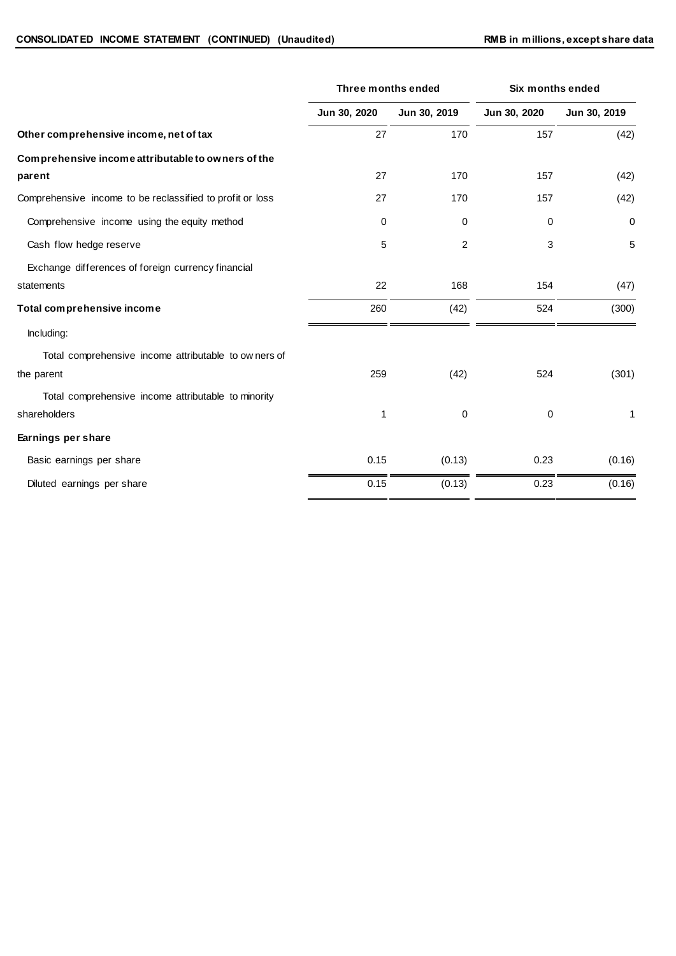|                                                           | <b>Three months ended</b> |                | Six months ended |              |
|-----------------------------------------------------------|---------------------------|----------------|------------------|--------------|
|                                                           | Jun 30, 2020              | Jun 30, 2019   | Jun 30, 2020     | Jun 30, 2019 |
| Other comprehensive income, net of tax                    | 27                        | 170            | 157              | (42)         |
| Comprehensive income attributable to owners of the        |                           |                |                  |              |
| parent                                                    | 27                        | 170            | 157              | (42)         |
| Comprehensive income to be reclassified to profit or loss | 27                        | 170            | 157              | (42)         |
| Comprehensive income using the equity method              | 0                         | 0              | 0                | 0            |
| Cash flow hedge reserve                                   | 5                         | $\overline{c}$ | 3                | 5            |
| Exchange differences of foreign currency financial        |                           |                |                  |              |
| statements                                                | 22                        | 168            | 154              | (47)         |
| Total comprehensive income                                | 260                       | (42)           | 524              | (300)        |
| Including:                                                |                           |                |                  |              |
| Total comprehensive income attributable to owners of      |                           |                |                  |              |
| the parent                                                | 259                       | (42)           | 524              | (301)        |
| Total comprehensive income attributable to minority       |                           |                |                  |              |
| shareholders                                              | 1                         | $\mathbf 0$    | 0                | 1            |
| Earnings per share                                        |                           |                |                  |              |
| Basic earnings per share                                  | 0.15                      | (0.13)         | 0.23             | (0.16)       |
| Diluted earnings per share                                | 0.15                      | (0.13)         | 0.23             | (0.16)       |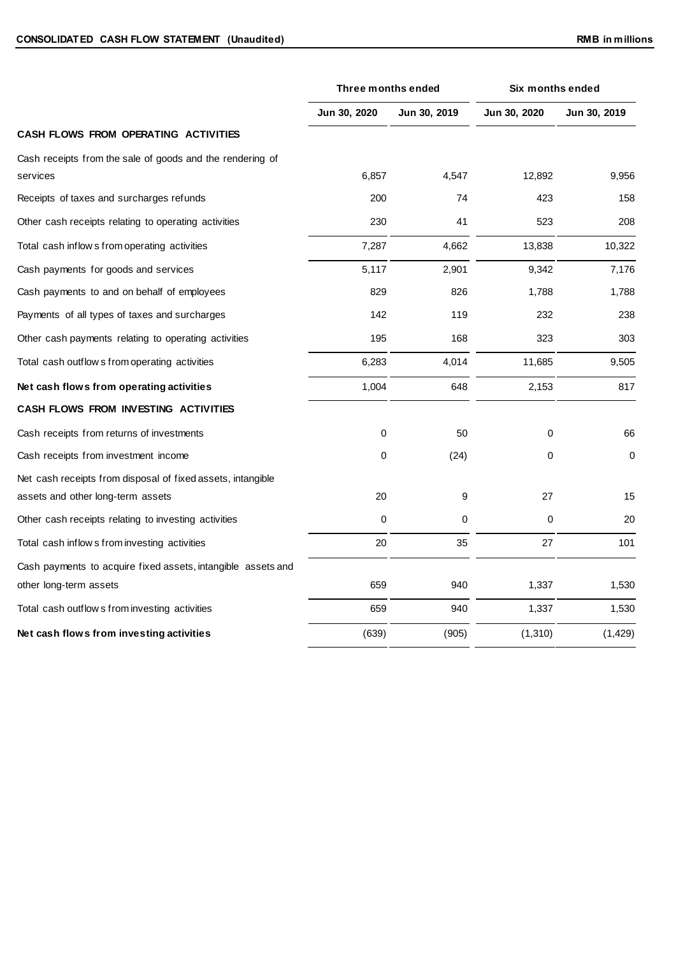|                                                                       | Three months ended |              | Six months ended |              |
|-----------------------------------------------------------------------|--------------------|--------------|------------------|--------------|
|                                                                       | Jun 30, 2020       | Jun 30, 2019 | Jun 30, 2020     | Jun 30, 2019 |
| CASH FLOWS FROM OPERATING ACTIVITIES                                  |                    |              |                  |              |
| Cash receipts from the sale of goods and the rendering of<br>services | 6,857              | 4,547        | 12,892           | 9,956        |
| Receipts of taxes and surcharges refunds                              | 200                | 74           | 423              | 158          |
| Other cash receipts relating to operating activities                  | 230                | 41           | 523              | 208          |
| Total cash inflow s from operating activities                         | 7,287              | 4,662        | 13,838           | 10,322       |
| Cash payments for goods and services                                  | 5,117              | 2,901        | 9,342            | 7,176        |
| Cash payments to and on behalf of employees                           | 829                | 826          | 1,788            | 1,788        |
| Payments of all types of taxes and surcharges                         | 142                | 119          | 232              | 238          |
| Other cash payments relating to operating activities                  | 195                | 168          | 323              | 303          |
| Total cash outflow s from operating activities                        | 6,283              | 4,014        | 11,685           | 9,505        |
| Net cash flows from operating activities                              | 1,004              | 648          | 2,153            | 817          |
| CASH FLOWS FROM INVESTING ACTIVITIES                                  |                    |              |                  |              |
| Cash receipts from returns of investments                             | 0                  | 50           | 0                | 66           |
| Cash receipts from investment income                                  | 0                  | (24)         | 0                | 0            |
| Net cash receipts from disposal of fixed assets, intangible           |                    |              |                  |              |
| assets and other long-term assets                                     | 20                 | 9            | 27               | 15           |
| Other cash receipts relating to investing activities                  | 0                  | 0            | 0                | 20           |
| Total cash inflow s from investing activities                         | 20                 | 35           | 27               | 101          |
| Cash payments to acquire fixed assets, intangible assets and          |                    |              |                  |              |
| other long-term assets                                                | 659                | 940          | 1,337            | 1,530        |
| Total cash outflow s from investing activities                        | 659                | 940          | 1,337            | 1,530        |
| Net cash flows from investing activities                              | (639)              | (905)        | (1, 310)         | (1, 429)     |